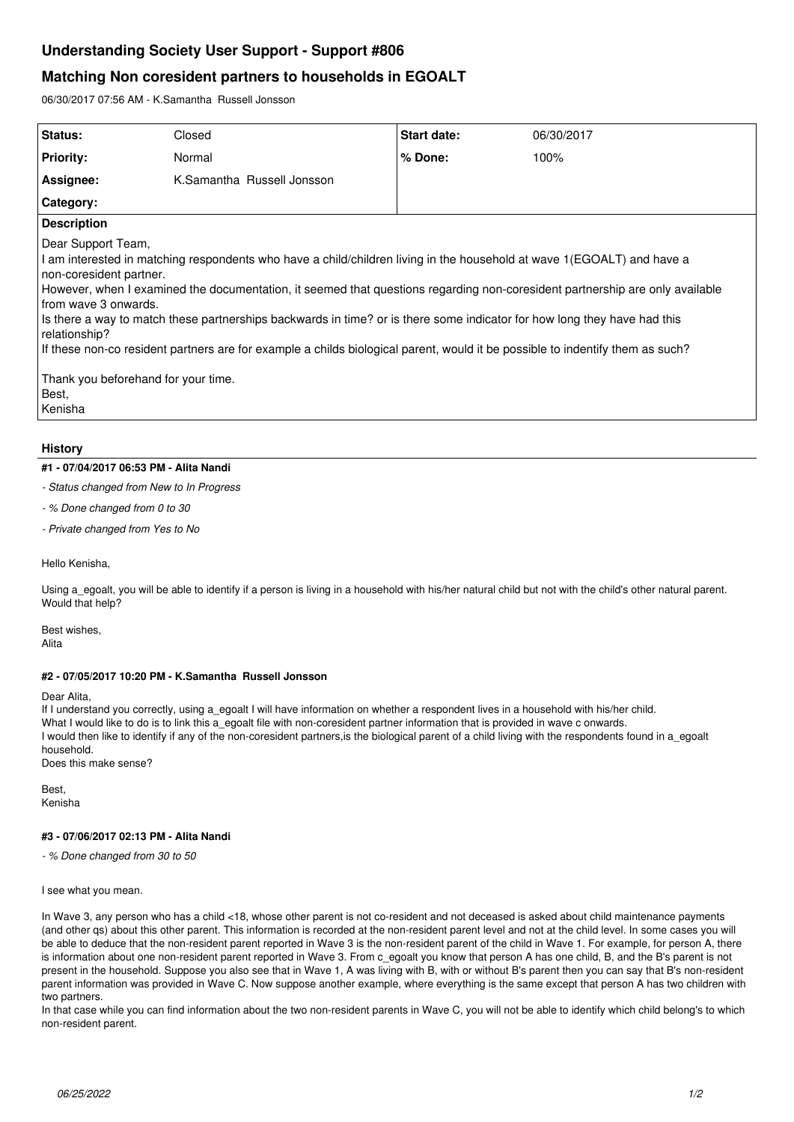# **Understanding Society User Support - Support #806**

# **Matching Non coresident partners to households in EGOALT**

06/30/2017 07:56 AM - K.Samantha Russell Jonsson

| Status:                                                                                                                                                                                                                                                                                                                                                                                                                                                                                                                                                                                                                                                                  | Closed                     | <b>Start date:</b> | 06/30/2017 |
|--------------------------------------------------------------------------------------------------------------------------------------------------------------------------------------------------------------------------------------------------------------------------------------------------------------------------------------------------------------------------------------------------------------------------------------------------------------------------------------------------------------------------------------------------------------------------------------------------------------------------------------------------------------------------|----------------------------|--------------------|------------|
| <b>Priority:</b>                                                                                                                                                                                                                                                                                                                                                                                                                                                                                                                                                                                                                                                         | Normal                     | % Done:            | 100%       |
| Assignee:                                                                                                                                                                                                                                                                                                                                                                                                                                                                                                                                                                                                                                                                | K.Samantha Russell Jonsson |                    |            |
| Category:                                                                                                                                                                                                                                                                                                                                                                                                                                                                                                                                                                                                                                                                |                            |                    |            |
| <b>Description</b>                                                                                                                                                                                                                                                                                                                                                                                                                                                                                                                                                                                                                                                       |                            |                    |            |
| Dear Support Team,<br>I am interested in matching respondents who have a child/children living in the household at wave 1(EGOALT) and have a<br>non-coresident partner.<br>However, when I examined the documentation, it seemed that questions regarding non-coresident partnership are only available<br>from wave 3 onwards.<br>Is there a way to match these partnerships backwards in time? or is there some indicator for how long they have had this<br>relationship?<br>If these non-co resident partners are for example a childs biological parent, would it be possible to indentify them as such?<br>Thank you beforehand for your time.<br>Best.<br>Kenisha |                            |                    |            |

## **History**

## **#1 - 07/04/2017 06:53 PM - Alita Nandi**

### *- Status changed from New to In Progress*

*- % Done changed from 0 to 30*

*- Private changed from Yes to No*

Hello Kenisha,

Using a egoalt, you will be able to identify if a person is living in a household with his/her natural child but not with the child's other natural parent. Would that help?

Best wishes, Alita

### **#2 - 07/05/2017 10:20 PM - K.Samantha Russell Jonsson**

#### Dear Alita,

If I understand you correctly, using a\_egoalt I will have information on whether a respondent lives in a household with his/her child. What I would like to do is to link this a egoalt file with non-coresident partner information that is provided in wave c onwards. I would then like to identify if any of the non-coresident partners, is the biological parent of a child living with the respondents found in a\_egoalt household. Does this make sense?

**Best** Kenisha

## **#3 - 07/06/2017 02:13 PM - Alita Nandi**

*- % Done changed from 30 to 50*

I see what you mean.

In Wave 3, any person who has a child <18, whose other parent is not co-resident and not deceased is asked about child maintenance payments (and other qs) about this other parent. This information is recorded at the non-resident parent level and not at the child level. In some cases you will be able to deduce that the non-resident parent reported in Wave 3 is the non-resident parent of the child in Wave 1. For example, for person A, there is information about one non-resident parent reported in Wave 3. From c\_egoalt you know that person A has one child, B, and the B's parent is not present in the household. Suppose you also see that in Wave 1, A was living with B, with or without B's parent then you can say that B's non-resident parent information was provided in Wave C. Now suppose another example, where everything is the same except that person A has two children with two partners.

In that case while you can find information about the two non-resident parents in Wave C, you will not be able to identify which child belong's to which non-resident parent.